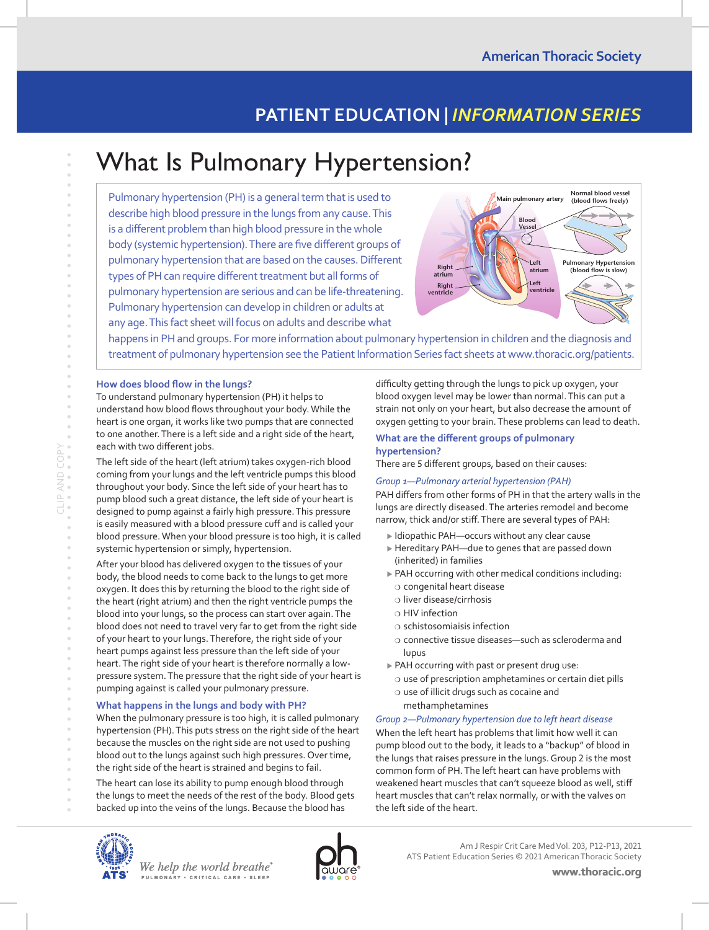## **PATIENT EDUCATION |** *INFORMATION SERIES*

Pulmonary hypertension (PH) is a general term that is used to describe high blood pressure in the lungs from any cause. This is a different problem than high blood pressure in the whole body (systemic hypertension). There are five different groups of pulmonary hypertension that are based on the causes. Different types of PH can require different treatment but all forms of pulmonary hypertension are serious and can be life-threatening. Pulmonary hypertension can develop in children or adults at any age. This fact sheet will focus on adults and describe what



happens in PH and groups. For more information about pulmonary hypertension in children and the diagnosis and treatment of pulmonary hypertension see the Patient Information Series fact sheets at www.thoracic.org/patients.

#### **How does blood flow in the lungs?**

 $\alpha$  $\ddot{\phantom{a}}$  To understand pulmonary hypertension (PH) it helps to understand how blood flows throughout your body. While the heart is one organ, it works like two pumps that are connected to one another. There is a left side and a right side of the heart, each with two different jobs.

The left side of the heart (left atrium) takes oxygen-rich blood coming from your lungs and the left ventricle pumps this blood throughout your body. Since the left side of your heart has to pump blood such a great distance, the left side of your heart is designed to pump against a fairly high pressure. This pressure is easily measured with a blood pressure cuff and is called your blood pressure. When your blood pressure is too high, it is called systemic hypertension or simply, hypertension.

**Exare with two outners you have the transformation in the sonyqen-rich blood There are 5 different groups, based on their causes:**<br>
Contring form you long) snd the left ventoricle pumps blood Compy a-minimonony outring After your blood has delivered oxygen to the tissues of your body, the blood needs to come back to the lungs to get more oxygen. It does this by returning the blood to the right side of the heart (right atrium) and then the right ventricle pumps the blood into your lungs, so the process can start over again. The blood does not need to travel very far to get from the right side of your heart to your lungs. Therefore, the right side of your heart pumps against less pressure than the left side of your heart. The right side of your heart is therefore normally a lowpressure system. The pressure that the right side of your heart is pumping against is called your pulmonary pressure.

#### **What happens in the lungs and body with PH?**

When the pulmonary pressure is too high, it is called pulmonary hypertension (PH). This puts stress on the right side of the heart because the muscles on the right side are not used to pushing blood out to the lungs against such high pressures. Over time, the right side of the heart is strained and begins to fail.

The heart can lose its ability to pump enough blood through the lungs to meet the needs of the rest of the body. Blood gets backed up into the veins of the lungs. Because the blood has

difficulty getting through the lungs to pick up oxygen, your blood oxygen level may be lower than normal. This can put a strain not only on your heart, but also decrease the amount of oxygen getting to your brain. These problems can lead to death.

#### **What are the different groups of pulmonary hypertension?**

There are 5 different groups, based on their causes:

#### *Group 1—Pulmonary arterial hypertension (PAH)*

PAH differs from other forms of PH in that the artery walls in the lungs are directly diseased. The arteries remodel and become narrow, thick and/or stiff. There are several types of PAH:

- ▶ Idiopathic PAH- occurs without any clear cause
- $\blacktriangleright$  Hereditary PAH—due to genes that are passed down (inherited) in families
- $\blacktriangleright$  PAH occurring with other medical conditions including: ❍ congenital heart disease
	- ❍ liver disease/cirrhosis
	- ❍ HIV infection
	- ❍ schistosomiaisis infection
	- ❍ connective tissue diseases—such as scleroderma and lupus
- ▶ PAH occurring with past or present drug use:
- ❍ use of prescription amphetamines or certain diet pills ❍ use of illicit drugs such as cocaine and
	- methamphetamines

#### *Group 2—Pulmonary hypertension due to left heart disease*

When the left heart has problems that limit how well it can pump blood out to the body, it leads to a "backup" of blood in the lungs that raises pressure in the lungs. Group 2 is the most common form of PH. The left heart can have problems with weakened heart muscles that can't squeeze blood as well, stiff heart muscles that can't relax normally, or with the valves on the left side of the heart.





Am J Respir Crit Care Med Vol. 203, P12-P13, 2021 ATS Patient Education Series © 2021 American Thoracic Society